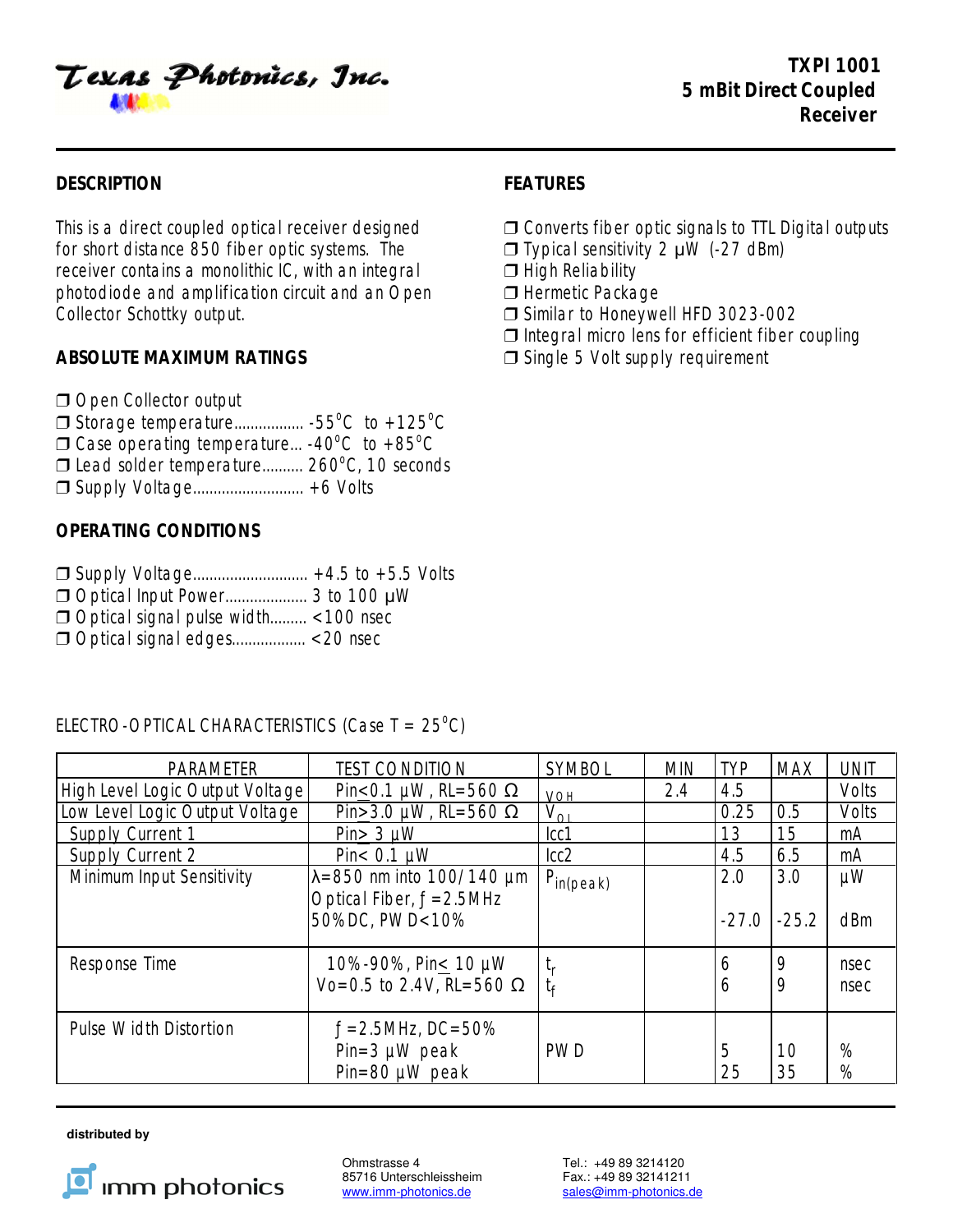Texas Photonics, Inc.

## **DESCRIPTION FEATURES**

for short distance 850 fiber optic systems. The  $\Box$  Typical sensitivity 2  $\mu$ W (-27 dBm) receiver contains a monolithic IC, with an integral  $\Box$  High Reliability photodiode and amplification circuit and an Open  $\Box$  Hermetic Package Collector Schottky output.  $\Box$  Similar to Honeywell HFD 3023-002

Open Collector output

- Storage temperature................. -55 C to +125 C o o
- $\Box$  Case operating temperature... -40°C to +85°C
- $\Box$  Lead solder temperature.......... 260 $\degree$ C, 10 seconds
- □ Supply Voltage............................... +6 Volts

# **OPERATING CONDITIONS**

- $\Box$  Supply Voltage................................. +4.5 to +5.5 Volts
- Optical Input Power.................... 3 to 100 :W
- Optical signal pulse width......... <100 nsec
- Optical signal edges.................. <20 nsec

# ELECTRO-OPTICAL CHARACTERISTICS (Case  $T = 25^{\circ}$ C)

| <b>PARAMETER</b>                | <b>TEST CONDITION</b>                                              | <b>SYMBOL</b>                                 | <b>MIN</b> | <b>TYP</b> | <b>MAX</b> | <b>UNIT</b>  |
|---------------------------------|--------------------------------------------------------------------|-----------------------------------------------|------------|------------|------------|--------------|
| High Level Logic Output Voltage | Pin < 0.1 $\mu$ W, RL=560 $\Omega$                                 | <b>VOH</b>                                    | 2.4        | 4.5        |            | Volts        |
| Low Level Logic Output Voltage  | Pin > 3.0 µW, RL=560 $\Omega$                                      | $V_{\Omega}$                                  |            | 0.25       | 0.5        | Volts        |
| Supply Current 1                | $Pin > 3 \mu W$                                                    | cc1                                           |            | 13         | 15         | mA           |
| Supply Current 2                | Pin $< 0.1$ $\mu$ W                                                | lcc2                                          |            | 4.5        | 6.5        | mA           |
| Minimum Input Sensitivity       | $\lambda = 850$ nm into 100/140 µm<br>Optical Fiber, $f = 2.5$ MHz | $P_{in (peak)}$                               |            | 2.0        | 3.0        | μW           |
|                                 | 50%DC, PWD<10%                                                     |                                               |            | $-27.0$    | $-25.2$    | dBm          |
| Response Time                   | 10%-90%, Pin < 10 μW<br>Vo=0.5 to 2.4V, RL=560 Ω                   | $\mathfrak{t}_{\mathsf{r}}$<br>t <sub>f</sub> |            | 6<br>6     | 9<br>9     | nsec<br>nsec |
| <b>Pulse Width Distortion</b>   | $f = 2.5$ MHz, DC=50%<br>$Pin=3 \mu W$ peak<br>$Pin=80 \mu W$ peak | <b>PWD</b>                                    |            | 5<br>25    | 10<br>35   | %<br>%       |

 **distributed by** 



Ohmstrasse 4 Tel.: +49 89 3214120<br>85716 Unterschleissheim Fax.: +49 89 32141211 85716 Unterschleissheim<br>www.imm-photonics.de

sales@imm-photonics.de

- This is a direct coupled optical receiver designed  $\Box$  Converts fiber optic signals to TTL Digital outputs
	-
	-
	-
	-
	- $\Box$  Integral micro lens for efficient fiber coupling
- **ABSOLUTE MAXIMUM RATINGS** ■ ■ ■ Single 5 Volt supply requirement